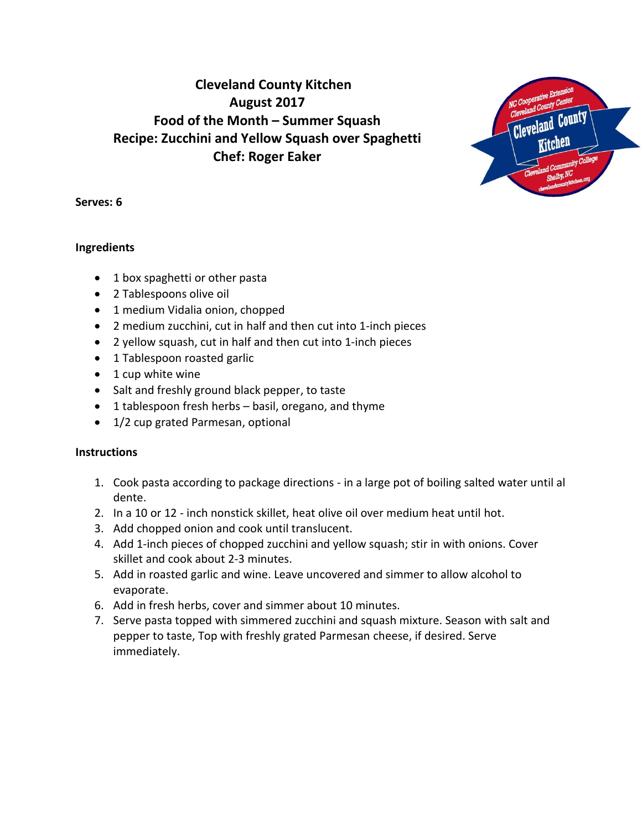# **Cleveland County Kitchen August 2017 Food of the Month – Summer Squash Recipe: Zucchini and Yellow Squash over Spaghetti Chef: Roger Eaker**



## **Serves: 6**

## **Ingredients**

- 1 box spaghetti or other pasta
- 2 Tablespoons olive oil
- 1 medium Vidalia onion, chopped
- 2 medium zucchini, cut in half and then cut into 1-inch pieces
- 2 yellow squash, cut in half and then cut into 1-inch pieces
- 1 Tablespoon roasted garlic
- $\bullet$  1 cup white wine
- Salt and freshly ground black pepper, to taste
- 1 tablespoon fresh herbs basil, oregano, and thyme
- 1/2 cup grated Parmesan, optional

## **Instructions**

- 1. Cook pasta according to package directions in a large pot of boiling salted water until al dente.
- 2. In a 10 or 12 inch nonstick skillet, heat olive oil over medium heat until hot.
- 3. Add chopped onion and cook until translucent.
- 4. Add 1-inch pieces of chopped zucchini and yellow squash; stir in with onions. Cover skillet and cook about 2-3 minutes.
- 5. Add in roasted garlic and wine. Leave uncovered and simmer to allow alcohol to evaporate.
- 6. Add in fresh herbs, cover and simmer about 10 minutes.
- 7. Serve pasta topped with simmered zucchini and squash mixture. Season with salt and pepper to taste, Top with freshly grated Parmesan cheese, if desired. Serve immediately.